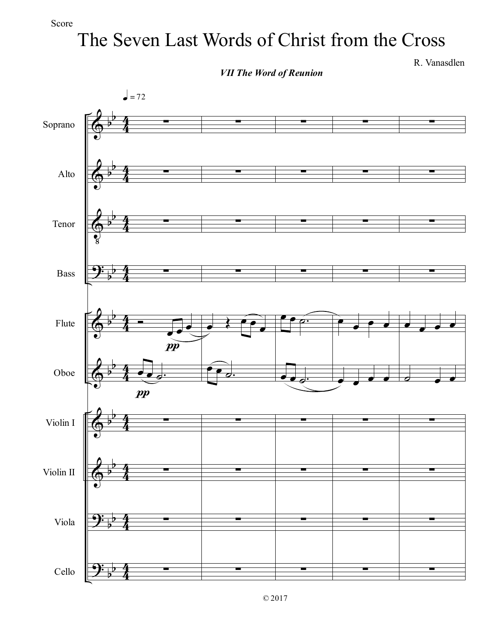## The Seven Last Words of Christ from the Cross

*VII The Word of Reunion*

R. Vanasdlen

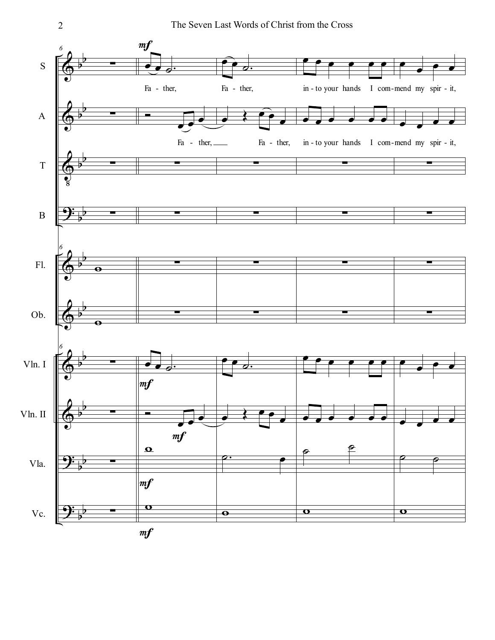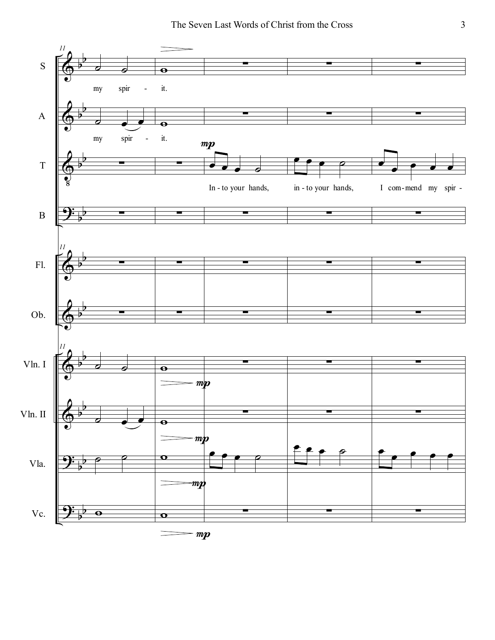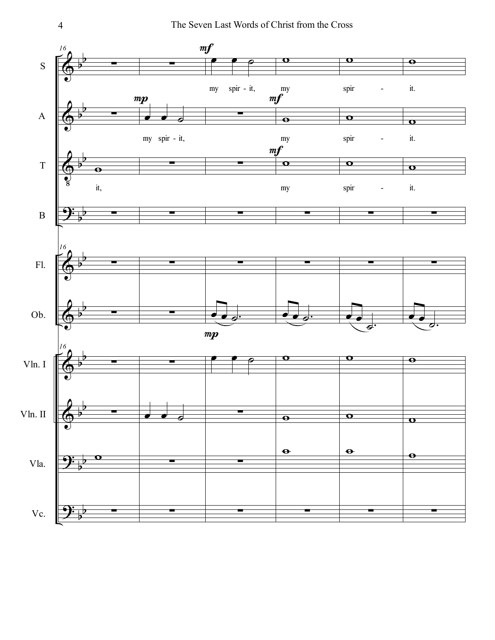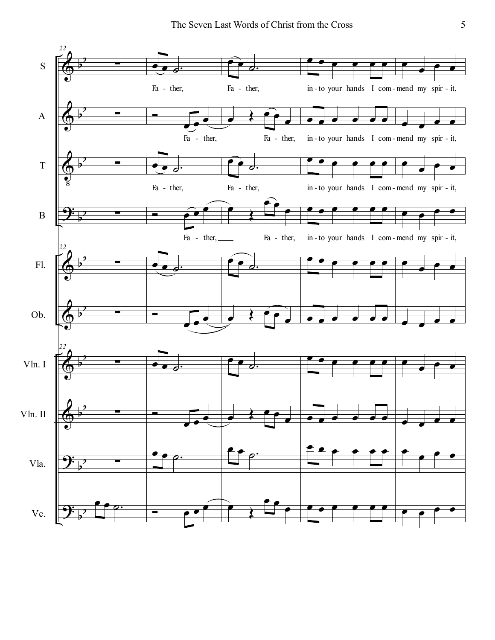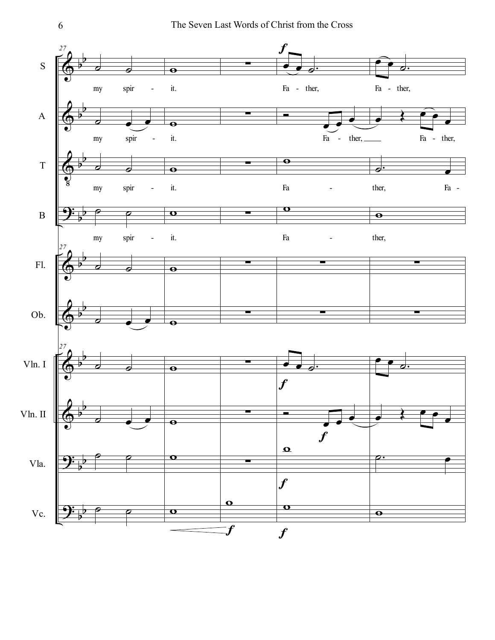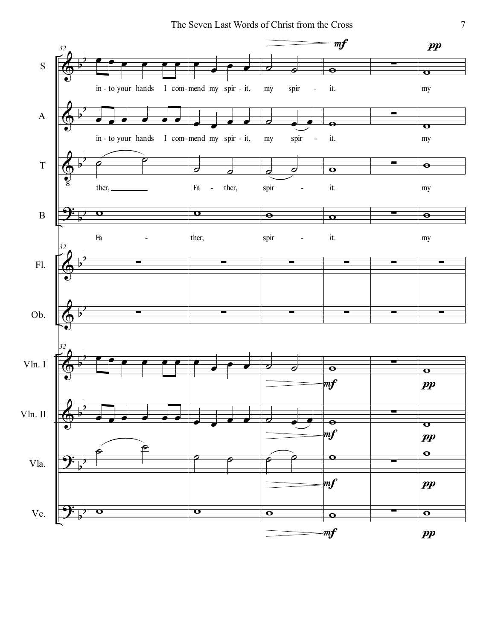